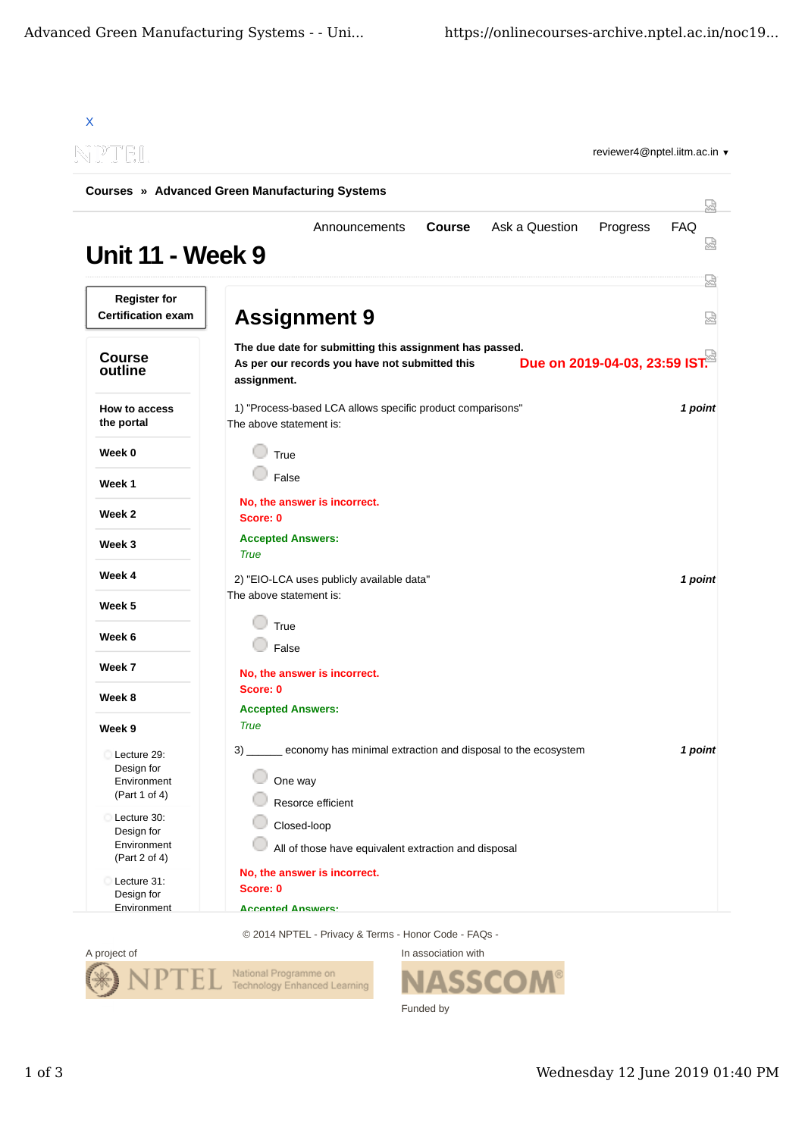| NPTIEIL                                                   | reviewer4@nptel.iitm.ac.in ▼                                                                                                                              |          |
|-----------------------------------------------------------|-----------------------------------------------------------------------------------------------------------------------------------------------------------|----------|
|                                                           | <b>Courses » Advanced Green Manufacturing Systems</b>                                                                                                     | 닜        |
| <b>Unit 11 - Week 9</b>                                   | Ask a Question<br>Announcements<br><b>Course</b><br>Progress                                                                                              | FAQ<br>눮 |
| <b>Register for</b><br><b>Certification exam</b>          | <b>Assignment 9</b>                                                                                                                                       | 덣<br>덣   |
| <b>Course</b><br>outline                                  | The due date for submitting this assignment has passed.<br>Due on 2019-04-03, 23:59 IST.<br>As per our records you have not submitted this<br>assignment. |          |
| How to access<br>the portal                               | 1) "Process-based LCA allows specific product comparisons"<br>The above statement is:                                                                     | 1 point  |
| Week 0                                                    | True                                                                                                                                                      |          |
| Week 1                                                    | False                                                                                                                                                     |          |
| Week 2                                                    | No, the answer is incorrect.<br>Score: 0                                                                                                                  |          |
| Week 3                                                    | <b>Accepted Answers:</b><br><b>True</b>                                                                                                                   |          |
| Week 4                                                    | 2) "EIO-LCA uses publicly available data"                                                                                                                 | 1 point  |
| Week 5                                                    | The above statement is:                                                                                                                                   |          |
| Week 6                                                    | True<br>False                                                                                                                                             |          |
| Week 7                                                    | No, the answer is incorrect.                                                                                                                              |          |
| Week 8                                                    | Score: 0                                                                                                                                                  |          |
| Week 9                                                    | <b>Accepted Answers:</b><br><b>True</b>                                                                                                                   |          |
| Lecture 29:<br>Design for<br>Environment<br>(Part 1 of 4) | 3) ______ economy has minimal extraction and disposal to the ecosystem<br>One way<br>Resorce efficient                                                    | 1 point  |
| Lecture 30:<br>Design for<br>Environment<br>(Part 2 of 4) | Closed-loop<br>All of those have equivalent extraction and disposal                                                                                       |          |
| Lecture 31:<br>Design for<br>Environment                  | No, the answer is incorrect.<br>Score: 0<br><b>Accepted Angwers:</b>                                                                                      |          |

© 2014 NPTEL - Privacy & Terms - Honor Code - FAQs -



In association with **ASSCOM®** Funded by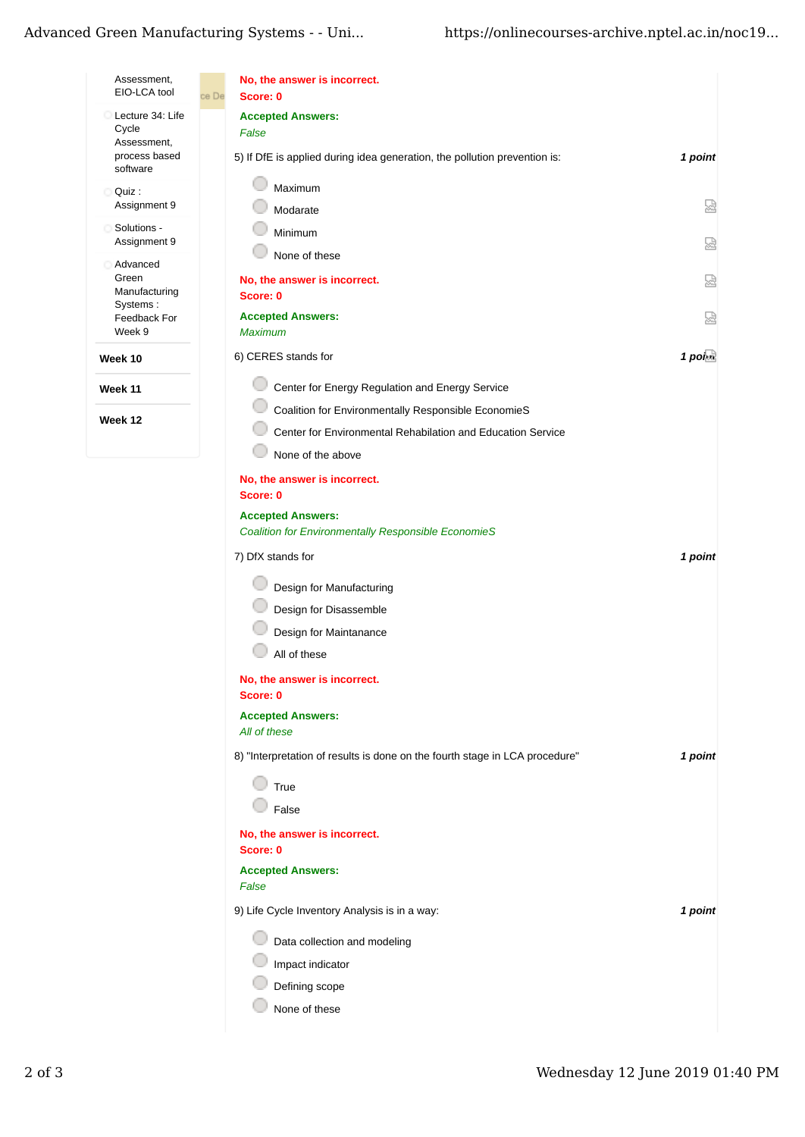| Assessment,<br>EIO-LCA tool | No, the answer is incorrect.<br>ce De<br>Score: 0                           |                  |
|-----------------------------|-----------------------------------------------------------------------------|------------------|
| Lecture 34: Life            | <b>Accepted Answers:</b>                                                    |                  |
| Cycle<br>Assessment,        | False                                                                       |                  |
| process based<br>software   | 5) If DfE is applied during idea generation, the pollution prevention is:   | 1 point          |
| Quiz:<br>Assignment 9       | Maximum<br>Modarate                                                         | 닯                |
| Solutions -                 | Minimum                                                                     |                  |
| Assignment 9                | None of these                                                               | 恳                |
| Advanced<br>Green           |                                                                             |                  |
| Manufacturing               | No, the answer is incorrect.<br>Score: 0                                    | 닯                |
| Systems:<br>Feedback For    | <b>Accepted Answers:</b>                                                    | 닯                |
| Week 9                      | <b>Maximum</b>                                                              |                  |
| Week 10                     | 6) CERES stands for                                                         | $1$ poi $\alpha$ |
| Week 11                     | Center for Energy Regulation and Energy Service                             |                  |
|                             | Coalition for Environmentally Responsible EconomieS                         |                  |
| Week 12                     | Center for Environmental Rehabilation and Education Service                 |                  |
|                             | None of the above                                                           |                  |
|                             | No, the answer is incorrect.                                                |                  |
|                             | Score: 0                                                                    |                  |
|                             | <b>Accepted Answers:</b>                                                    |                  |
|                             | <b>Coalition for Environmentally Responsible EconomieS</b>                  |                  |
|                             | 7) DfX stands for                                                           | 1 point          |
|                             | Design for Manufacturing                                                    |                  |
|                             | Design for Disassemble                                                      |                  |
|                             | Design for Maintanance                                                      |                  |
|                             | All of these                                                                |                  |
|                             | No, the answer is incorrect.<br>Score: 0                                    |                  |
|                             | <b>Accepted Answers:</b>                                                    |                  |
|                             | All of these                                                                |                  |
|                             | 8) "Interpretation of results is done on the fourth stage in LCA procedure" | 1 point          |
|                             | True                                                                        |                  |
|                             | False                                                                       |                  |
|                             | No, the answer is incorrect.<br>Score: 0                                    |                  |
|                             | <b>Accepted Answers:</b>                                                    |                  |
|                             | False                                                                       |                  |
|                             | 9) Life Cycle Inventory Analysis is in a way:                               | 1 point          |
|                             | Data collection and modeling                                                |                  |
|                             | Impact indicator                                                            |                  |
|                             | Defining scope                                                              |                  |
|                             | None of these                                                               |                  |